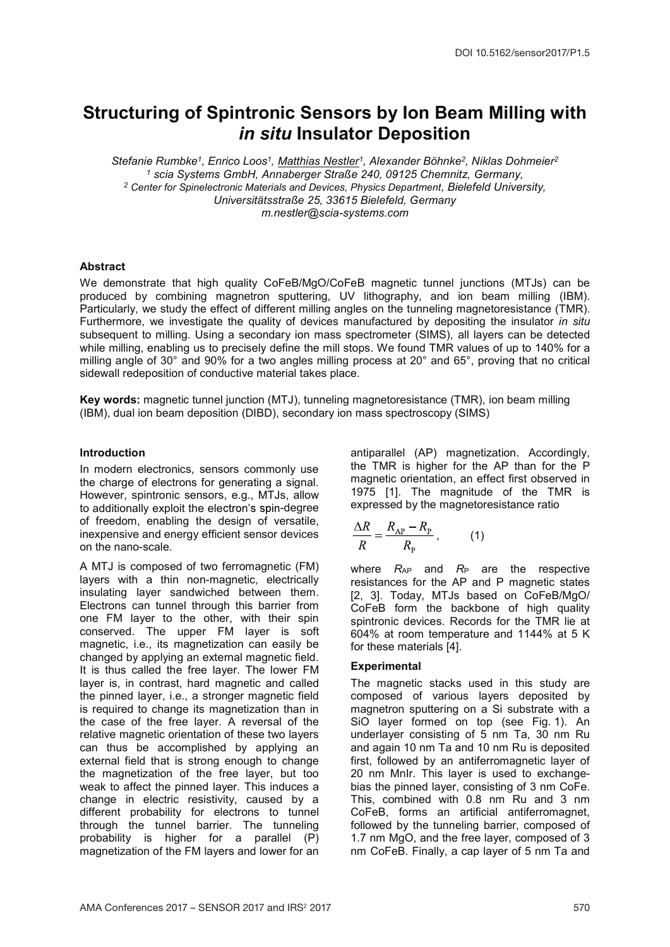# Structuring of Spintronic Sensors by Ion Beam Milling with in situ Insulator Deposition

Stefanie Rumbke<sup>1</sup>, Enrico Loos<sup>1</sup>, Matthias Nestler<sup>1</sup>, Alexander Böhnke<sup>2</sup>, Niklas Dohmeier<sup>2</sup> 1 scia Systems GmbH, Annaberger Straße 240, 09125 Chemnitz, Germany, <sup>2</sup> Center for Spinelectronic Materials and Devices, Physics Department, Bielefeld University, Universitätsstraße 25, 33615 Bielefeld, Germany m.nestler@scia-systems.com

# **Abstract**

We demonstrate that high quality CoFeB/MgO/CoFeB magnetic tunnel junctions (MTJs) can be produced by combining magnetron sputtering, UV lithography, and ion beam milling (IBM). Particularly, we study the effect of different milling angles on the tunneling magnetoresistance (TMR). Furthermore, we investigate the quality of devices manufactured by depositing the insulator in situ subsequent to milling. Using a secondary ion mass spectrometer (SIMS), all layers can be detected while milling, enabling us to precisely define the mill stops. We found TMR values of up to 140% for a milling angle of 30° and 90% for a two angles milling process at 20° and 65°, proving that no critical sidewall redeposition of conductive material takes place.

Key words: magnetic tunnel junction (MTJ), tunneling magnetoresistance (TMR), ion beam milling (IBM), dual ion beam deposition (DIBD), secondary ion mass spectroscopy (SIMS)

# Introduction

In modern electronics, sensors commonly use the charge of electrons for generating a signal. However, spintronic sensors, e.g., MTJs, allow to additionally exploit the electron's spin-degree of freedom, enabling the design of versatile, inexpensive and energy efficient sensor devices on the nano-scale.

A MTJ is composed of two ferromagnetic (FM) layers with a thin non-magnetic, electrically insulating layer sandwiched between them. Electrons can tunnel through this barrier from one FM layer to the other, with their spin conserved. The upper FM layer is soft magnetic, i.e., its magnetization can easily be changed by applying an external magnetic field. It is thus called the free layer. The lower FM layer is, in contrast, hard magnetic and called the pinned layer, i.e., a stronger magnetic field is required to change its magnetization than in the case of the free layer. A reversal of the relative magnetic orientation of these two layers can thus be accomplished by applying an external field that is strong enough to change the magnetization of the free layer, but too weak to affect the pinned layer. This induces a change in electric resistivity, caused by a different probability for electrons to tunnel through the tunnel barrier. The tunneling probability is higher for a parallel (P) magnetization of the FM layers and lower for an

antiparallel (AP) magnetization. Accordingly, the TMR is higher for the AP than for the P magnetic orientation, an effect first observed in 1975 [1]. The magnitude of the TMR is expressed by the magnetoresistance ratio

$$
\frac{\Delta R}{R} = \frac{R_{\rm AP} - R_{\rm P}}{R_{\rm p}}\,,\tag{1}
$$

where  $R_{AP}$  and  $R_P$  are the respective resistances for the AP and P magnetic states [2, 3]. Today, MTJs based on CoFeB/MgO/ CoFeB form the backbone of high quality spintronic devices. Records for the TMR lie at 604% at room temperature and 1144% at 5 K for these materials [4].

#### **Experimental**

The magnetic stacks used in this study are composed of various layers deposited by magnetron sputtering on a Si substrate with a SiO layer formed on top (see Fig. 1). An underlayer consisting of 5 nm Ta, 30 nm Ru and again 10 nm Ta and 10 nm Ru is deposited first, followed by an antiferromagnetic layer of 20 nm MnIr. This layer is used to exchangebias the pinned layer, consisting of 3 nm CoFe. This, combined with 0.8 nm Ru and 3 nm CoFeB, forms an artificial antiferromagnet, followed by the tunneling barrier, composed of 1.7 nm MgO, and the free layer, composed of 3 nm CoFeB. Finally, a cap layer of 5 nm Ta and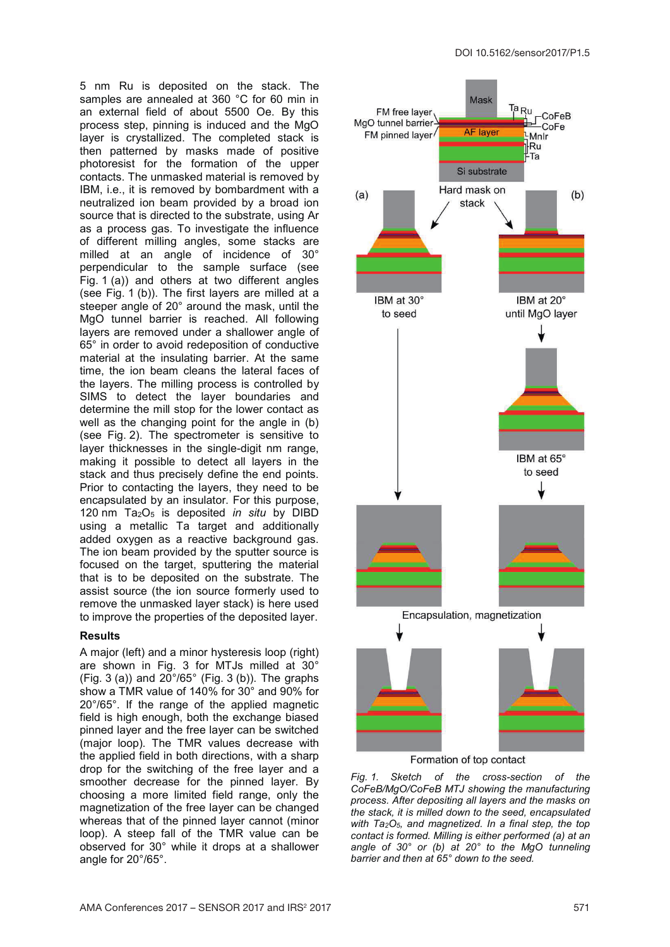5 nm Ru is deposited on the stack. The samples are annealed at 360 °C for 60 min in an external field of about 5500 Oe. By this process step, pinning is induced and the MgO layer is crystallized. The completed stack is then patterned by masks made of positive photoresist for the formation of the upper contacts. The unmasked material is removed by IBM, i.e., it is removed by bombardment with a neutralized ion beam provided by a broad ion source that is directed to the substrate, using Ar as a process gas. To investigate the influence of different milling angles, some stacks are milled at an angle of incidence of 30° perpendicular to the sample surface (see Fig. 1 (a)) and others at two different angles (see Fig. 1 (b)). The first layers are milled at a steeper angle of 20° around the mask, until the MgO tunnel barrier is reached. All following layers are removed under a shallower angle of 65° in order to avoid redeposition of conductive material at the insulating barrier. At the same time, the ion beam cleans the lateral faces of the layers. The milling process is controlled by SIMS to detect the layer boundaries and determine the mill stop for the lower contact as well as the changing point for the angle in (b) (see Fig. 2). The spectrometer is sensitive to layer thicknesses in the single-digit nm range, making it possible to detect all layers in the stack and thus precisely define the end points. Prior to contacting the layers, they need to be encapsulated by an insulator. For this purpose, 120 nm  $Ta_2O_5$  is deposited in situ by DIBD using a metallic Ta target and additionally added oxygen as a reactive background gas. The ion beam provided by the sputter source is focused on the target, sputtering the material that is to be deposited on the substrate. The assist source (the ion source formerly used to remove the unmasked layer stack) is here used to improve the properties of the deposited layer.

#### **Results**

A major (left) and a minor hysteresis loop (right) are shown in Fig. 3 for MTJs milled at 30° (Fig. 3 (a)) and  $20^{\circ}/65^{\circ}$  (Fig. 3 (b)). The graphs show a TMR value of 140% for 30° and 90% for 20°/65°. If the range of the applied magnetic field is high enough, both the exchange biased pinned layer and the free layer can be switched (major loop). The TMR values decrease with the applied field in both directions, with a sharp drop for the switching of the free layer and a smoother decrease for the pinned layer. By choosing a more limited field range, only the magnetization of the free layer can be changed whereas that of the pinned layer cannot (minor loop). A steep fall of the TMR value can be observed for 30° while it drops at a shallower angle for 20°/65°.



Fig. 1. Sketch of the cross-section of the CoFeB/MgO/CoFeB MTJ showing the manufacturing process. After depositing all layers and the masks on the stack, it is milled down to the seed, encapsulated with  $Ta_2O_5$ , and magnetized. In a final step, the top contact is formed. Milling is either performed (a) at an angle of 30° or (b) at 20° to the MgO tunneling barrier and then at 65° down to the seed.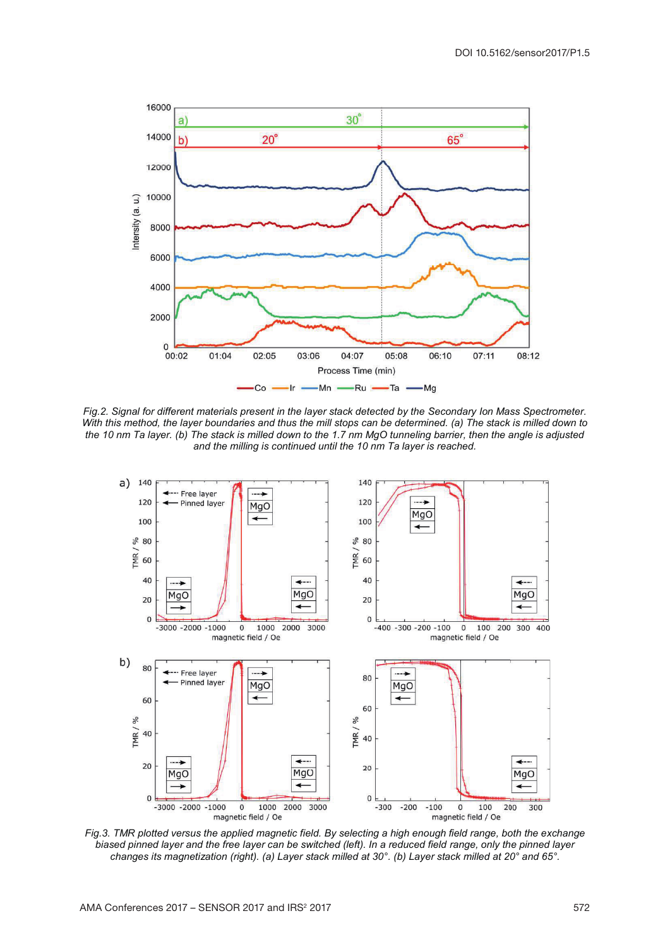

Fig.2. Signal for different materials present in the layer stack detected by the Secondary Ion Mass Spectrometer. With this method, the layer boundaries and thus the mill stops can be determined. (a) The stack is milled down to the 10 nm Ta layer. (b) The stack is milled down to the 1.7 nm MgO tunneling barrier, then the angle is adjusted and the milling is continued until the 10 nm Ta layer is reached.



Fig.3. TMR plotted versus the applied magnetic field. By selecting a high enough field range, both the exchange biased pinned layer and the free layer can be switched (left). In a reduced field range, only the pinned layer changes its magnetization (right). (a) Layer stack milled at 30°. (b) Layer stack milled at 20° and 65°.